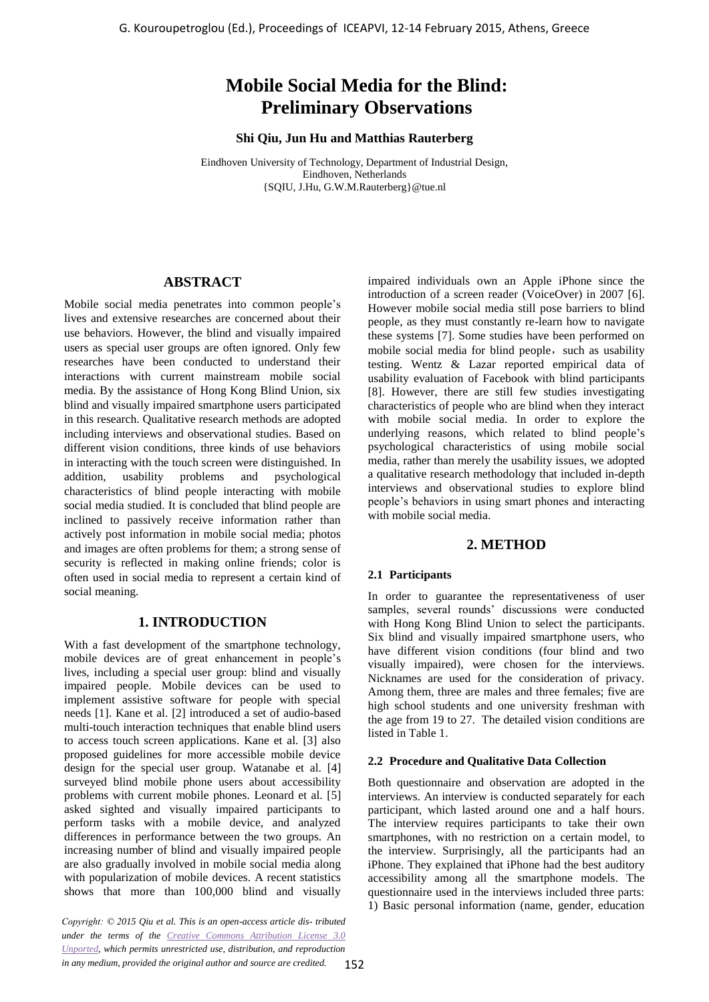# **Mobile Social Media for the Blind: Preliminary Observations**

**Shi Qiu, Jun Hu and Matthias Rauterberg** 

Eindhoven University of Technology, Department of Industrial Design, Eindhoven, Netherlands {SQIU, J.Hu, G.W.M.Rauterberg}@tue.nl

## **ABSTRACT**

Mobile social media penetrates into common people's lives and extensive researches are concerned about their use behaviors. However, the blind and visually impaired users as special user groups are often ignored. Only few researches have been conducted to understand their interactions with current mainstream mobile social media. By the assistance of Hong Kong Blind Union, six blind and visually impaired smartphone users participated in this research. Qualitative research methods are adopted including interviews and observational studies. Based on different vision conditions, three kinds of use behaviors in interacting with the touch screen were distinguished. In addition, usability problems and psychological characteristics of blind people interacting with mobile social media studied. It is concluded that blind people are inclined to passively receive information rather than actively post information in mobile social media; photos and images are often problems for them; a strong sense of security is reflected in making online friends; color is often used in social media to represent a certain kind of social meaning. G. Kouroupetroglou (Ed.), Proceedings of ICEAPVI, 12-14 February 2015, Athens, Greece 162 (1914). **Procedings of ICEAPVI, and Helitimary Observations:**<br> **Mobile Social Meditian Statements of the Blind.**<br> **Control in the a** 

# **1. INTRODUCTION**

With a fast development of the smartphone technology, mobile devices are of great enhancement in people's lives, including a special user group: blind and visually impaired people. Mobile devices can be used to implement assistive software for people with special needs [1]. Kane et al. [2] introduced a set of audio-based multi-touch interaction techniques that enable blind users to access touch screen applications. Kane et al. [3] also proposed guidelines for more accessible mobile device design for the special user group. Watanabe et al. [4] surveyed blind mobile phone users about accessibility problems with current mobile phones. Leonard et al. [5] asked sighted and visually impaired participants to perform tasks with a mobile device, and analyzed differences in performance between the two groups. An increasing number of blind and visually impaired people are also gradually involved in mobile social media along with popularization of mobile devices. A recent statistics shows that more than 100,000 blind and visually

*Copyright: © 2015 Qiu et al. This is an open-access article dis- tributed under the terms of the Creative Commons Attribution License 3.0 [Unported,](http://creativecommons.org/licenses/by/3.0/) which permits unrestricted use, distribution, and reproduction in any medium, provided the original author and source are credited.*

impaired individuals own an Apple iPhone since the introduction of a screen reader (VoiceOver) in 2007 [6]. However mobile social media still pose barriers to blind people, as they must constantly re-learn how to navigate these systems [7]. Some studies have been performed on mobile social media for blind people, such as usability testing. Wentz & Lazar reported empirical data of usability evaluation of Facebook with blind participants [8]. However, there are still few studies investigating characteristics of people who are blind when they interact with mobile social media. In order to explore the underlying reasons, which related to blind people's psychological characteristics of using mobile social media, rather than merely the usability issues, we adopted a qualitative research methodology that included in-depth interviews and observational studies to explore blind people's behaviors in using smart phones and interacting with mobile social media.

## **2. METHOD**

#### **2.1 Participants**

In order to guarantee the representativeness of user samples, several rounds' discussions were conducted with Hong Kong Blind Union to select the participants. Six blind and visually impaired smartphone users, who have different vision conditions (four blind and two visually impaired), were chosen for the interviews. Nicknames are used for the consideration of privacy. Among them, three are males and three females; five are high school students and one university freshman with the age from 19 to 27. The detailed vision conditions are listed in Table 1.

#### **2.2 Procedure and Qualitative Data Collection**

Both questionnaire and observation are adopted in the interviews. An interview is conducted separately for each participant, which lasted around one and a half hours. The interview requires participants to take their own smartphones, with no restriction on a certain model, to the interview. Surprisingly, all the participants had an iPhone. They explained that iPhone had the best auditory accessibility among all the smartphone models. The questionnaire used in the interviews included three parts: 1) Basic personal information (name, gender, education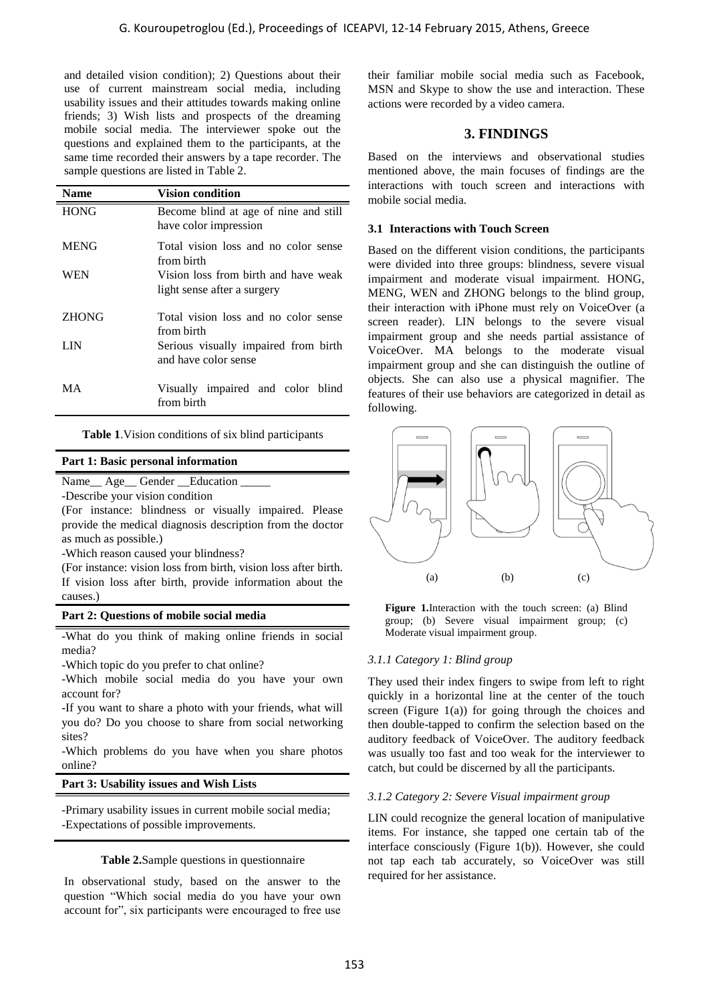|                                                                                                                                                                                                                                                                                           |                                                                                                                                                                                                                                                                                                                                     | G. Kouroupetroglou (Ed.), Proceedings of ICEAPVI, 12-14 February 2015, Athens, Greece                                                            |  |  |  |
|-------------------------------------------------------------------------------------------------------------------------------------------------------------------------------------------------------------------------------------------------------------------------------------------|-------------------------------------------------------------------------------------------------------------------------------------------------------------------------------------------------------------------------------------------------------------------------------------------------------------------------------------|--------------------------------------------------------------------------------------------------------------------------------------------------|--|--|--|
| and detailed vision condition); 2) Questions about their<br>use of current mainstream social media, including<br>usability issues and their attitudes towards making online<br>friends; 3) Wish lists and prospects of the dreaming<br>mobile social media. The interviewer spoke out the |                                                                                                                                                                                                                                                                                                                                     | their familiar mobile social media such as<br>MSN and Skype to show the use and interac<br>actions were recorded by a video camera.              |  |  |  |
|                                                                                                                                                                                                                                                                                           | questions and explained them to the participants, at the                                                                                                                                                                                                                                                                            | 3. FINDINGS                                                                                                                                      |  |  |  |
|                                                                                                                                                                                                                                                                                           | same time recorded their answers by a tape recorder. The<br>sample questions are listed in Table 2.                                                                                                                                                                                                                                 | Based on the interviews and observation<br>mentioned above, the main focuses of findin                                                           |  |  |  |
| <b>Name</b>                                                                                                                                                                                                                                                                               | <b>Vision condition</b>                                                                                                                                                                                                                                                                                                             | interactions with touch screen and interac<br>mobile social media.                                                                               |  |  |  |
| <b>HONG</b>                                                                                                                                                                                                                                                                               | Become blind at age of nine and still<br>have color impression                                                                                                                                                                                                                                                                      | 3.1 Interactions with Touch Screen                                                                                                               |  |  |  |
| <b>MENG</b>                                                                                                                                                                                                                                                                               | Total vision loss and no color sense                                                                                                                                                                                                                                                                                                | Based on the different vision conditions, the p                                                                                                  |  |  |  |
| WEN                                                                                                                                                                                                                                                                                       | from birth<br>Vision loss from birth and have weak<br>light sense after a surgery                                                                                                                                                                                                                                                   | were divided into three groups: blindness, se<br>impairment and moderate visual impairmer<br>MENG, WEN and ZHONG belongs to the b                |  |  |  |
| <b>ZHONG</b>                                                                                                                                                                                                                                                                              | Total vision loss and no color sense<br>from birth                                                                                                                                                                                                                                                                                  | their interaction with iPhone must rely on Vo<br>screen reader). LIN belongs to the sev                                                          |  |  |  |
| <b>LIN</b>                                                                                                                                                                                                                                                                                | Serious visually impaired from birth<br>and have color sense                                                                                                                                                                                                                                                                        | impairment group and she needs partial as<br>VoiceOver. MA belongs to the moder<br>impairment group and she can distinguish the                  |  |  |  |
| MA                                                                                                                                                                                                                                                                                        | Visually impaired and color blind<br>from birth                                                                                                                                                                                                                                                                                     | objects. She can also use a physical mag<br>features of their use behaviors are categorized<br>following.                                        |  |  |  |
|                                                                                                                                                                                                                                                                                           | Table 1. Vision conditions of six blind participants                                                                                                                                                                                                                                                                                |                                                                                                                                                  |  |  |  |
|                                                                                                                                                                                                                                                                                           | Part 1: Basic personal information                                                                                                                                                                                                                                                                                                  |                                                                                                                                                  |  |  |  |
| -Describe your vision condition<br>as much as possible.)<br>causes.)                                                                                                                                                                                                                      | Name__ Age__ Gender __Education _____<br>(For instance: blindness or visually impaired. Please<br>provide the medical diagnosis description from the doctor<br>-Which reason caused your blindness?<br>(For instance: vision loss from birth, vision loss after birth.<br>If vision loss after birth, provide information about the | (b)<br>(c)<br>(a)                                                                                                                                |  |  |  |
| Part 2: Questions of mobile social media                                                                                                                                                                                                                                                  |                                                                                                                                                                                                                                                                                                                                     | <b>Figure 1.</b> Interaction with the touch screen: (                                                                                            |  |  |  |
| media?                                                                                                                                                                                                                                                                                    | -What do you think of making online friends in social                                                                                                                                                                                                                                                                               | group; (b) Severe visual impairment gro<br>Moderate visual impairment group.                                                                     |  |  |  |
| -Which topic do you prefer to chat online?<br>-Which mobile social media do you have your own<br>account for?                                                                                                                                                                             |                                                                                                                                                                                                                                                                                                                                     | 3.1.1 Category 1: Blind group<br>They used their index fingers to swipe from 1<br>quickly in a horizontal line at the center of                  |  |  |  |
| -If you want to share a photo with your friends, what will<br>you do? Do you choose to share from social networking<br>sites?                                                                                                                                                             |                                                                                                                                                                                                                                                                                                                                     | screen (Figure $1(a)$ ) for going through the c<br>then double-tapped to confirm the selection ba<br>auditory feedback of VoiceOver. The auditor |  |  |  |
| online?                                                                                                                                                                                                                                                                                   | -Which problems do you have when you share photos                                                                                                                                                                                                                                                                                   | was usually too fast and too weak for the inte<br>catch, but could be discerned by all the particip                                              |  |  |  |
|                                                                                                                                                                                                                                                                                           | Part 3: Usability issues and Wish Lists                                                                                                                                                                                                                                                                                             |                                                                                                                                                  |  |  |  |
| -Primary usability issues in current mobile social media;<br>-Expectations of possible improvements.                                                                                                                                                                                      |                                                                                                                                                                                                                                                                                                                                     | 3.1.2 Category 2: Severe Visual impairment gr<br>LIN could recognize the general location of m<br>items. For instance, she tapped one certain    |  |  |  |
|                                                                                                                                                                                                                                                                                           | <b>Table 2.</b> Sample questions in questionnaire                                                                                                                                                                                                                                                                                   | interface consciously (Figure 1(b)). However,<br>not tap each tab accurately, so VoiceOver                                                       |  |  |  |
|                                                                                                                                                                                                                                                                                           | In observational study, based on the answer to the<br>question "Which social media do you have your own<br>account for", six participants were encouraged to free use                                                                                                                                                               | required for her assistance.                                                                                                                     |  |  |  |
|                                                                                                                                                                                                                                                                                           |                                                                                                                                                                                                                                                                                                                                     | 153                                                                                                                                              |  |  |  |

## <span id="page-1-0"></span>**Part 1: Basic personal information**

#### **Part 2: Questions of mobile social media**

#### **Part 3: Usability issues and Wish Lists**

#### <span id="page-1-1"></span>**Table 2.**Sample questions in questionnaire

their familiar mobile social media such as Facebook, MSN and Skype to show the use and interaction. These actions were recorded by a video camera.

#### **3. FINDINGS**

Based on the interviews and observational studies mentioned above, the main focuses of findings are the interactions with touch screen and interactions with mobile social media.

## **3.1 Interactions with Touch Screen**

Based on the different vision conditions, the participants were divided into three groups: blindness, severe visual impairment and moderate visual impairment. HONG, MENG, WEN and ZHONG belongs to the blind group, their interaction with iPhone must rely on VoiceOver (a screen reader). LIN belongs to the severe visual impairment group and she needs partial assistance of VoiceOver. MA belongs to the moderate visual impairment group and she can distinguish the outline of objects. She can also use a physical magnifier. The features of their use behaviors are categorized in detail as following.



<span id="page-1-2"></span>**Figure 1.**Interaction with the touch screen: (a) Blind group; (b) Severe visual impairment group; (c) Moderate visual impairment group.

#### *3.1.1 Category 1: Blind group*

They used their index fingers to swipe from left to right quickly in a horizontal line at the center of the touch screen (Figure  $1(a)$ ) for going through the choices and then double-tapped to confirm the selection based on the auditory feedback of VoiceOver. The auditory feedback was usually too fast and too weak for the interviewer to catch, but could be discerned by all the participants.

#### *3.1.2 Category 2: Severe Visual impairment group*

LIN could recognize the general location of manipulative items. For instance, she tapped one certain tab of the interface consciously (Figure 1(b)). However, she could not tap each tab accurately, so VoiceOver was still required for her assistance.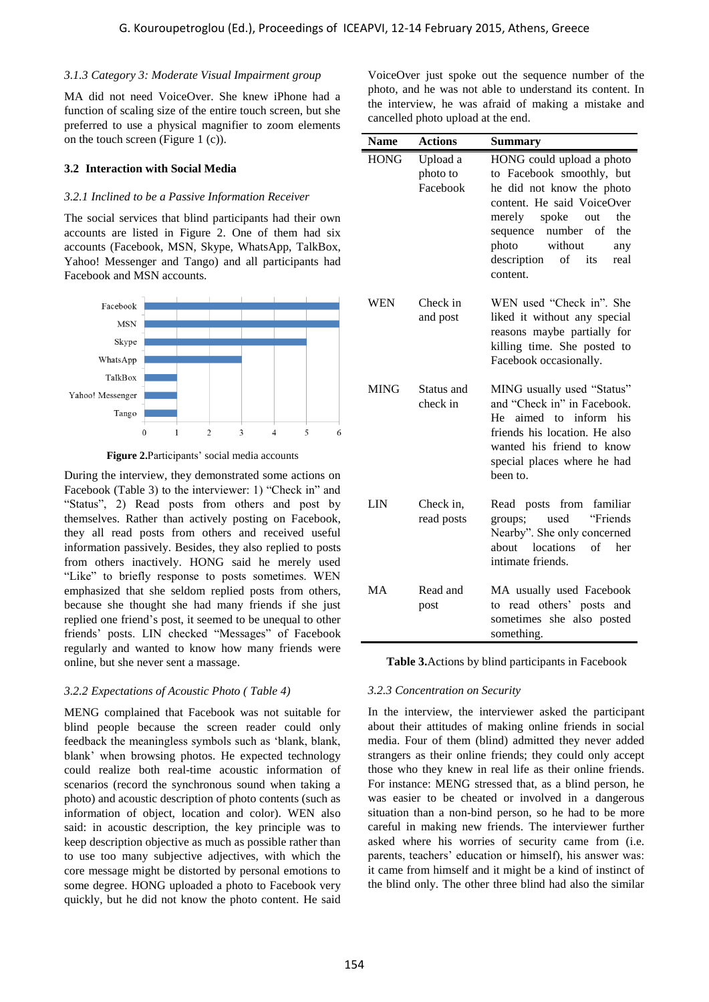#### *3.1.3 Category 3: Moderate Visual Impairment group*

MA did not need VoiceOver. She knew iPhone had a function of scaling size of the entire touch screen, but she preferred to use a physical magnifier to zoom elements on the touch screen (Figure 1 (c)).

#### **3.2 Interaction with Social Media**

#### *3.2.1 Inclined to be a Passive Information Receiver*

The social services that blind participants had their own accounts are listed in Figure 2. One of them had six accounts (Facebook, MSN, Skype, WhatsApp, TalkBox, Yahoo! Messenger and Tango) and all participants had Facebook and MSN accounts.





<span id="page-2-0"></span>During the interview, they demonstrated some actions on Facebook (Table 3) to the interviewer: 1) "Check in" and "Status", 2) Read posts from others and post by themselves. Rather than actively posting on Facebook, they all read posts from others and received useful information passively. Besides, they also replied to posts from others inactively. HONG said he merely used "Like" to briefly response to posts sometimes. WEN emphasized that she seldom replied posts from others, because she thought she had many friends if she just replied one friend's post, it seemed to be unequal to other friends' posts. LIN checked "Messages" of Facebook regularly and wanted to know how many friends were online, but she never sent a massage.

#### *3.2.2 Expectations of Acoustic Photo ( Table 4)*

MENG complained that Facebook was not suitable for blind people because the screen reader could only feedback the meaningless symbols such as 'blank, blank, blank' when browsing photos. He expected technology could realize both real-time acoustic information of scenarios (record the synchronous sound when taking a photo) and acoustic description of photo contents (such as information of object, location and color). WEN also said: in acoustic description, the key principle was to keep description objective as much as possible rather than to use too many subjective adjectives, with which the core message might be distorted by personal emotions to some degree. HONG uploaded a photo to Facebook very quickly, but he did not know the photo content. He said

| ory 3: Moderate Visual Impairment group<br>ot need VoiceOver. She knew iPhone had a<br>scaling size of the entire touch screen, but she<br>o use a physical magnifier to zoom elements                                                                                                                                                                                                                                                                                                                                                                                                                                                                                       | VoiceOver just spoke out the sequence number of the<br>photo, and he was not able to understand its content. If<br>the interview, he was afraid of making a mistake and<br>cancelled photo upload at the end.                                                                                                                                                                                                                                                                                                                                                                                                                                                                                                                                                                      |                                  |                                                                                                                                                                                                                                                               |  |
|------------------------------------------------------------------------------------------------------------------------------------------------------------------------------------------------------------------------------------------------------------------------------------------------------------------------------------------------------------------------------------------------------------------------------------------------------------------------------------------------------------------------------------------------------------------------------------------------------------------------------------------------------------------------------|------------------------------------------------------------------------------------------------------------------------------------------------------------------------------------------------------------------------------------------------------------------------------------------------------------------------------------------------------------------------------------------------------------------------------------------------------------------------------------------------------------------------------------------------------------------------------------------------------------------------------------------------------------------------------------------------------------------------------------------------------------------------------------|----------------------------------|---------------------------------------------------------------------------------------------------------------------------------------------------------------------------------------------------------------------------------------------------------------|--|
| n screen (Figure 1 $(c)$ ).                                                                                                                                                                                                                                                                                                                                                                                                                                                                                                                                                                                                                                                  | <b>Name</b>                                                                                                                                                                                                                                                                                                                                                                                                                                                                                                                                                                                                                                                                                                                                                                        | <b>Actions</b>                   | <b>Summary</b>                                                                                                                                                                                                                                                |  |
| ction with Social Media<br>ed to be a Passive Information Receiver<br>services that blind participants had their own<br>re listed in Figure 2. One of them had six<br>acebook, MSN, Skype, WhatsApp, TalkBox,<br>essenger and Tango) and all participants had<br>nd MSN accounts.                                                                                                                                                                                                                                                                                                                                                                                            | <b>HONG</b>                                                                                                                                                                                                                                                                                                                                                                                                                                                                                                                                                                                                                                                                                                                                                                        | Upload a<br>photo to<br>Facebook | HONG could upload a photo<br>to Facebook smoothly, but<br>he did not know the photo<br>content. He said VoiceOver<br>merely<br>spoke<br>the<br>out<br>sequence number<br>of<br>the<br>without<br>photo<br>any<br>description<br>of<br>its<br>real<br>content. |  |
| book<br><b>MSN</b><br>kype<br>App                                                                                                                                                                                                                                                                                                                                                                                                                                                                                                                                                                                                                                            | <b>WEN</b>                                                                                                                                                                                                                                                                                                                                                                                                                                                                                                                                                                                                                                                                                                                                                                         | Check in<br>and post             | WEN used "Check in". She<br>liked it without any special<br>reasons maybe partially for<br>killing time. She posted to<br>Facebook occasionally.                                                                                                              |  |
| Box<br>nger<br>ango<br>5<br>$\overline{c}$<br>3<br>$\overline{4}$<br>$\mathbf{1}$<br>0<br>6<br><b>gure 2.</b> Participants' social media accounts<br>interview, they demonstrated some actions on                                                                                                                                                                                                                                                                                                                                                                                                                                                                            | <b>MING</b>                                                                                                                                                                                                                                                                                                                                                                                                                                                                                                                                                                                                                                                                                                                                                                        | Status and<br>check in           | MING usually used "Status"<br>and "Check in" in Facebook.<br>He aimed to inform his<br>friends his location. He also<br>wanted his friend to know<br>special places where he had<br>been to.                                                                  |  |
| Table 3) to the interviewer: 1) "Check in" and<br>2) Read posts from others and post by<br>Rather than actively posting on Facebook,<br>ad posts from others and received useful<br>passively. Besides, they also replied to posts<br>s inactively. HONG said he merely used<br>briefly response to posts sometimes. WEN                                                                                                                                                                                                                                                                                                                                                     | <b>LIN</b>                                                                                                                                                                                                                                                                                                                                                                                                                                                                                                                                                                                                                                                                                                                                                                         | Check in,<br>read posts          | Read posts from familiar<br>used<br>"Friends"<br>groups;<br>Nearby". She only concerned<br>locations<br>of<br>about<br>her<br>intimate friends.                                                                                                               |  |
| that she seldom replied posts from others,<br>e thought she had many friends if she just<br>friend's post, it seemed to be unequal to other<br>sts. LIN checked "Messages" of Facebook                                                                                                                                                                                                                                                                                                                                                                                                                                                                                       | MA                                                                                                                                                                                                                                                                                                                                                                                                                                                                                                                                                                                                                                                                                                                                                                                 | Read and<br>post                 | MA usually used Facebook<br>to read others' posts and<br>sometimes she also posted<br>something.                                                                                                                                                              |  |
| nd wanted to know how many friends were<br>she never sent a massage.                                                                                                                                                                                                                                                                                                                                                                                                                                                                                                                                                                                                         | Table 3. Actions by blind participants in Facebook                                                                                                                                                                                                                                                                                                                                                                                                                                                                                                                                                                                                                                                                                                                                 |                                  |                                                                                                                                                                                                                                                               |  |
| <i>tations of Acoustic Photo (Table 4)</i>                                                                                                                                                                                                                                                                                                                                                                                                                                                                                                                                                                                                                                   |                                                                                                                                                                                                                                                                                                                                                                                                                                                                                                                                                                                                                                                                                                                                                                                    | 3.2.3 Concentration on Security  |                                                                                                                                                                                                                                                               |  |
| mplained that Facebook was not suitable for<br>le because the screen reader could only<br>e meaningless symbols such as 'blank, blank,<br>n browsing photos. He expected technology<br>ze both real-time acoustic information of<br>record the synchronous sound when taking a<br>acoustic description of photo contents (such as<br>of object, location and color). WEN also<br>oustic description, the key principle was to<br>ption objective as much as possible rather than<br>many subjective adjectives, with which the<br>ge might be distorted by personal emotions to<br>e. HONG uploaded a photo to Facebook very<br>t he did not know the photo content. He said | In the interview, the interviewer asked the participar<br>about their attitudes of making online friends in socia<br>media. Four of them (blind) admitted they never adde<br>strangers as their online friends; they could only accep<br>those who they knew in real life as their online friends<br>For instance: MENG stressed that, as a blind person, h<br>was easier to be cheated or involved in a dangerou<br>situation than a non-bind person, so he had to be mor<br>careful in making new friends. The interviewer furthe<br>asked where his worries of security came from (i.e.<br>parents, teachers' education or himself), his answer was<br>it came from himself and it might be a kind of instinct of<br>the blind only. The other three blind had also the similar |                                  |                                                                                                                                                                                                                                                               |  |
| 154                                                                                                                                                                                                                                                                                                                                                                                                                                                                                                                                                                                                                                                                          |                                                                                                                                                                                                                                                                                                                                                                                                                                                                                                                                                                                                                                                                                                                                                                                    |                                  |                                                                                                                                                                                                                                                               |  |

#### <span id="page-2-1"></span>*3.2.3 Concentration on Security*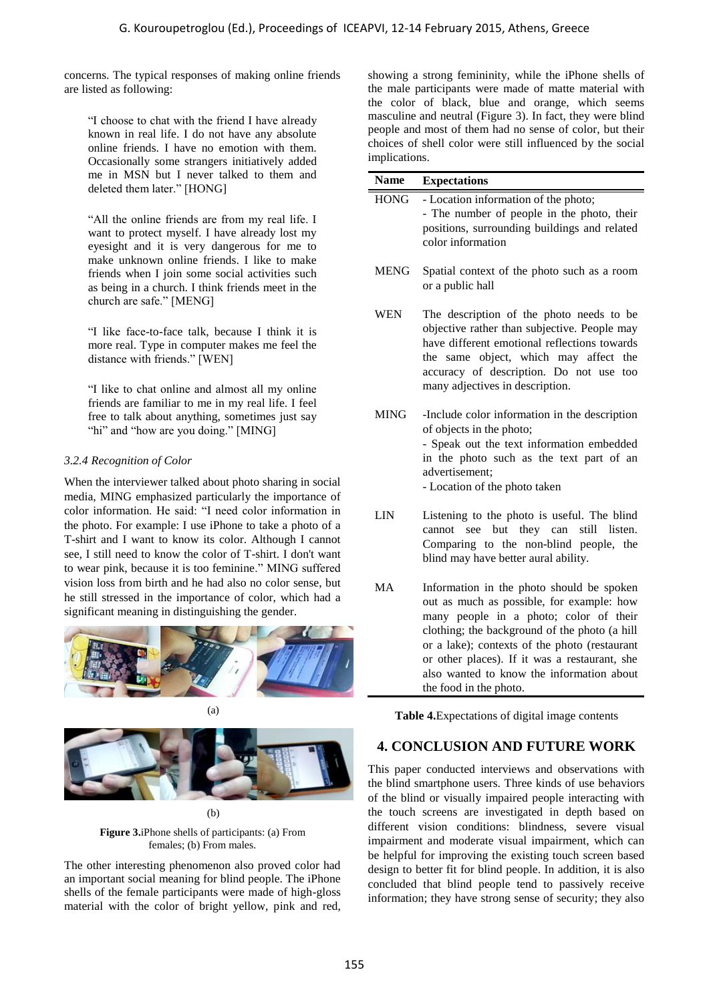concerns. The typical responses of making online friends are listed as following:

"I choose to chat with the friend I have already known in real life. I do not have any absolute online friends. I have no emotion with them. Occasionally some strangers initiatively added me in MSN but I never talked to them and deleted them later." [HONG]

"All the online friends are from my real life. I want to protect myself. I have already lost my eyesight and it is very dangerous for me to make unknown online friends. I like to make friends when I join some social activities such as being in a church. I think friends meet in the church are safe." [MENG]

"I like face-to-face talk, because I think it is more real. Type in computer makes me feel the distance with friends." [WEN]

"I like to chat online and almost all my online friends are familiar to me in my real life. I feel free to talk about anything, sometimes just say "hi" and "how are you doing." [MING]

#### *3.2.4 Recognition of Color*

When the interviewer talked about photo sharing in social media, MING emphasized particularly the importance of color information. He said: "I need color information in the photo. For example: I use iPhone to take a photo of a T-shirt and I want to know its color. Although I cannot see, I still need to know the color of T-shirt. I don't want to wear pink, because it is too feminine." MING suffered vision loss from birth and he had also no color sense, but he still stressed in the importance of color, which had a significant meaning in distinguishing the gender.







(b)

<span id="page-3-1"></span>**Figure 3.**iPhone shells of participants: (a) From females; (b) From males.

The other interesting phenomenon also proved color had an important social meaning for blind people. The iPhone shells of the female participants were made of high-gloss material with the color of bright yellow, pink and red,

| he typical responses of making online friends<br>following:<br>ose to chat with the friend I have already<br>in real life. I do not have any absolute<br>friends. I have no emotion with them.<br>onally some strangers initiatively added        | showing a strong femininity, while the iPhone shells of<br>the male participants were made of matte material with<br>the color of black, blue and orange, which seems<br>masculine and neutral (Figure 3). In fact, they were blind<br>people and most of them had no sense of color, but their<br>choices of shell color were still influenced by the social<br>implications.                                                                                                                                                                                                                               |                                                                                                                                                                                                                                                                 |  |  |
|---------------------------------------------------------------------------------------------------------------------------------------------------------------------------------------------------------------------------------------------------|--------------------------------------------------------------------------------------------------------------------------------------------------------------------------------------------------------------------------------------------------------------------------------------------------------------------------------------------------------------------------------------------------------------------------------------------------------------------------------------------------------------------------------------------------------------------------------------------------------------|-----------------------------------------------------------------------------------------------------------------------------------------------------------------------------------------------------------------------------------------------------------------|--|--|
| MSN but I never talked to them and                                                                                                                                                                                                                | <b>Name</b><br><b>Expectations</b>                                                                                                                                                                                                                                                                                                                                                                                                                                                                                                                                                                           |                                                                                                                                                                                                                                                                 |  |  |
| d them later." [HONG]                                                                                                                                                                                                                             | <b>HONG</b>                                                                                                                                                                                                                                                                                                                                                                                                                                                                                                                                                                                                  | - Location information of the photo;                                                                                                                                                                                                                            |  |  |
| ne online friends are from my real life. I<br>o protect myself. I have already lost my<br>ht and it is very dangerous for me to<br>unknown online friends. I like to make                                                                         |                                                                                                                                                                                                                                                                                                                                                                                                                                                                                                                                                                                                              | - The number of people in the photo, their<br>positions, surrounding buildings and related<br>color information                                                                                                                                                 |  |  |
| when I join some social activities such<br>ng in a church. I think friends meet in the<br>are safe." [MENG]                                                                                                                                       | <b>MENG</b>                                                                                                                                                                                                                                                                                                                                                                                                                                                                                                                                                                                                  | Spatial context of the photo such as a room<br>or a public hall                                                                                                                                                                                                 |  |  |
| face-to-face talk, because I think it is<br>eal. Type in computer makes me feel the<br>e with friends." [WEN]                                                                                                                                     | <b>WEN</b>                                                                                                                                                                                                                                                                                                                                                                                                                                                                                                                                                                                                   | The description of the photo needs to be<br>objective rather than subjective. People may<br>have different emotional reflections towards<br>the same object, which may affect the<br>accuracy of description. Do not use too<br>many adjectives in description. |  |  |
| to chat online and almost all my online<br>are familiar to me in my real life. I feel<br>talk about anything, sometimes just say<br>nd "how are you doing." [MING]                                                                                | <b>MING</b>                                                                                                                                                                                                                                                                                                                                                                                                                                                                                                                                                                                                  | -Include color information in the description<br>of objects in the photo;                                                                                                                                                                                       |  |  |
| nition of Color!                                                                                                                                                                                                                                  |                                                                                                                                                                                                                                                                                                                                                                                                                                                                                                                                                                                                              | - Speak out the text information embedded<br>in the photo such as the text part of an<br>advertisement;                                                                                                                                                         |  |  |
| nterviewer talked about photo sharing in social<br>NG emphasized particularly the importance of                                                                                                                                                   |                                                                                                                                                                                                                                                                                                                                                                                                                                                                                                                                                                                                              | - Location of the photo taken                                                                                                                                                                                                                                   |  |  |
| nation. He said: "I need color information in<br>For example: I use iPhone to take a photo of a<br>I want to know its color. Although I cannot<br>eed to know the color of T-shirt. I don't want<br>k, because it is too feminine." MING suffered | <b>LIN</b>                                                                                                                                                                                                                                                                                                                                                                                                                                                                                                                                                                                                   | Listening to the photo is useful. The blind<br>cannot see but they can still listen.<br>Comparing to the non-blind people, the<br>blind may have better aural ability.                                                                                          |  |  |
| from birth and he had also no color sense, but<br>ssed in the importance of color, which had a<br>meaning in distinguishing the gender.                                                                                                           | <b>MA</b>                                                                                                                                                                                                                                                                                                                                                                                                                                                                                                                                                                                                    | Information in the photo should be spoken<br>out as much as possible, for example: how<br>many people in a photo; color of their<br>clothing; the background of the photo (a hill                                                                               |  |  |
|                                                                                                                                                                                                                                                   |                                                                                                                                                                                                                                                                                                                                                                                                                                                                                                                                                                                                              | or a lake); contexts of the photo (restaurant<br>or other places). If it was a restaurant, she<br>also wanted to know the information about<br>the food in the photo.                                                                                           |  |  |
| (a)                                                                                                                                                                                                                                               | Table 4. Expectations of digital image contents                                                                                                                                                                                                                                                                                                                                                                                                                                                                                                                                                              |                                                                                                                                                                                                                                                                 |  |  |
|                                                                                                                                                                                                                                                   | <b>4. CONCLUSION AND FUTURE WORK</b>                                                                                                                                                                                                                                                                                                                                                                                                                                                                                                                                                                         |                                                                                                                                                                                                                                                                 |  |  |
| (b)                                                                                                                                                                                                                                               | This paper conducted interviews and observations with<br>the blind smartphone users. Three kinds of use behaviors<br>of the blind or visually impaired people interacting with<br>the touch screens are investigated in depth based on<br>different vision conditions: blindness, severe visual<br>impairment and moderate visual impairment, which can<br>be helpful for improving the existing touch screen based<br>design to better fit for blind people. In addition, it is also<br>concluded that blind people tend to passively receive<br>information; they have strong sense of security; they also |                                                                                                                                                                                                                                                                 |  |  |
| are 3.iPhone shells of participants: (a) From<br>females; (b) From males.                                                                                                                                                                         |                                                                                                                                                                                                                                                                                                                                                                                                                                                                                                                                                                                                              |                                                                                                                                                                                                                                                                 |  |  |
| nteresting phenomenon also proved color had<br>at social meaning for blind people. The iPhone<br>e female participants were made of high-gloss<br>th the color of bright yellow, pink and red,                                                    |                                                                                                                                                                                                                                                                                                                                                                                                                                                                                                                                                                                                              |                                                                                                                                                                                                                                                                 |  |  |

# <span id="page-3-0"></span>**4. CONCLUSION AND FUTURE WORK**